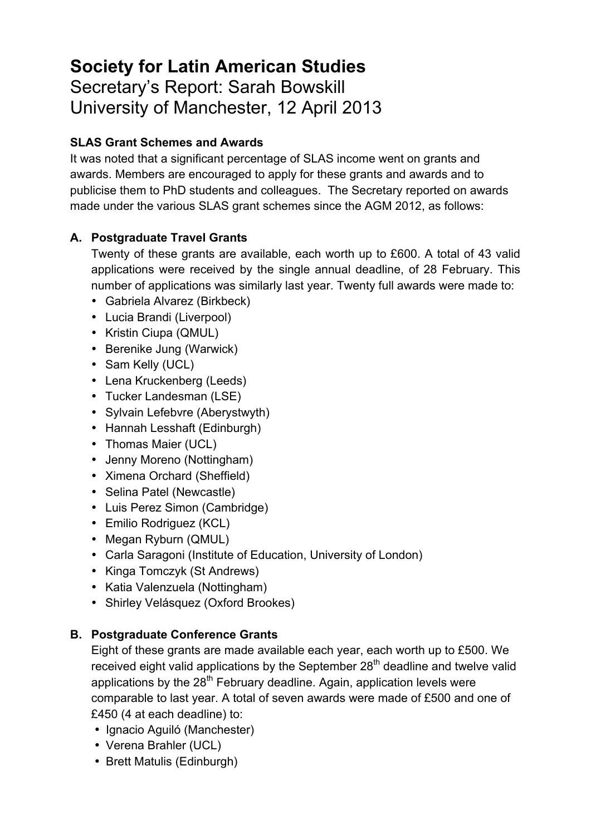# **Society for Latin American Studies**

Secretary's Report: Sarah Bowskill University of Manchester, 12 April 2013

# **SLAS Grant Schemes and Awards**

It was noted that a significant percentage of SLAS income went on grants and awards. Members are encouraged to apply for these grants and awards and to publicise them to PhD students and colleagues. The Secretary reported on awards made under the various SLAS grant schemes since the AGM 2012, as follows:

## **A. Postgraduate Travel Grants**

Twenty of these grants are available, each worth up to £600. A total of 43 valid applications were received by the single annual deadline, of 28 February. This number of applications was similarly last year. Twenty full awards were made to:

- Gabriela Alvarez (Birkbeck)
- Lucia Brandi (Liverpool)
- Kristin Ciupa (QMUL)
- Berenike Jung (Warwick)
- Sam Kelly (UCL)
- Lena Kruckenberg (Leeds)
- Tucker Landesman (LSE)
- Sylvain Lefebvre (Aberystwyth)
- Hannah Lesshaft (Edinburgh)
- Thomas Maier (UCL)
- Jenny Moreno (Nottingham)
- Ximena Orchard (Sheffield)
- Selina Patel (Newcastle)
- Luis Perez Simon (Cambridge)
- Emilio Rodriguez (KCL)
- Megan Ryburn (QMUL)
- Carla Saragoni (Institute of Education, University of London)
- Kinga Tomczyk (St Andrews)
- Katia Valenzuela (Nottingham)
- Shirley Velásquez (Oxford Brookes)

## **B. Postgraduate Conference Grants**

Eight of these grants are made available each year, each worth up to £500. We received eight valid applications by the September  $28<sup>th</sup>$  deadline and twelve valid applications by the  $28<sup>th</sup>$  February deadline. Again, application levels were comparable to last year. A total of seven awards were made of £500 and one of £450 (4 at each deadline) to:

- Ignacio Aguiló (Manchester)
- Verena Brahler (UCL)
- Brett Matulis (Edinburgh)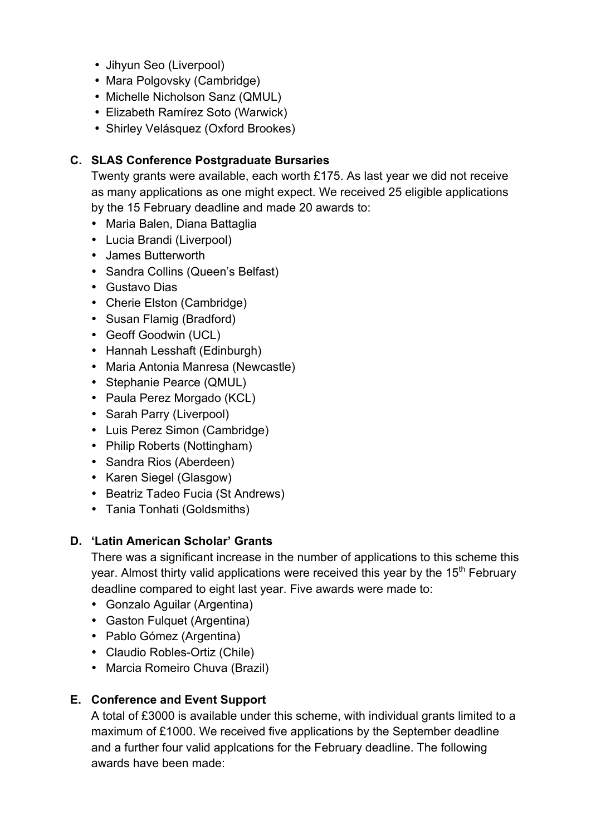- Jihyun Seo (Liverpool)
- Mara Polgovsky (Cambridge)
- Michelle Nicholson Sanz (QMUL)
- Elizabeth Ramírez Soto (Warwick)
- Shirley Velásquez (Oxford Brookes)

#### **C. SLAS Conference Postgraduate Bursaries**

Twenty grants were available, each worth £175. As last year we did not receive as many applications as one might expect. We received 25 eligible applications by the 15 February deadline and made 20 awards to:

- Maria Balen, Diana Battaglia
- Lucia Brandi (Liverpool)
- James Butterworth
- Sandra Collins (Queen's Belfast)
- Gustavo Dias
- Cherie Elston (Cambridge)
- Susan Flamig (Bradford)
- Geoff Goodwin (UCL)
- Hannah Lesshaft (Edinburgh)
- Maria Antonia Manresa (Newcastle)
- Stephanie Pearce (QMUL)
- Paula Perez Morgado (KCL)
- Sarah Parry (Liverpool)
- Luis Perez Simon (Cambridge)
- Philip Roberts (Nottingham)
- Sandra Rios (Aberdeen)
- Karen Siegel (Glasgow)
- Beatriz Tadeo Fucia (St Andrews)
- Tania Tonhati (Goldsmiths)

#### **D. 'Latin American Scholar' Grants**

There was a significant increase in the number of applications to this scheme this year. Almost thirty valid applications were received this year by the 15<sup>th</sup> February deadline compared to eight last year. Five awards were made to:

- Gonzalo Aguilar (Argentina)
- Gaston Fulquet (Argentina)
- Pablo Gómez (Argentina)
- Claudio Robles-Ortiz (Chile)
- Marcia Romeiro Chuva (Brazil)

#### **E. Conference and Event Support**

A total of £3000 is available under this scheme, with individual grants limited to a maximum of £1000. We received five applications by the September deadline and a further four valid applcations for the February deadline. The following awards have been made: